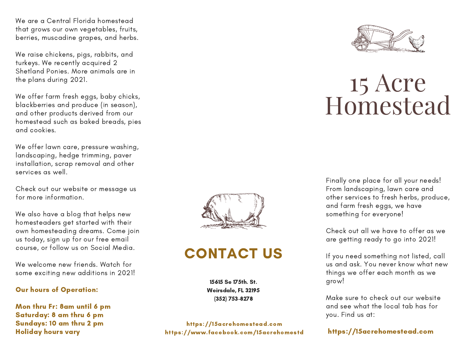We are a Central Florida homestead that grows our own vegetables, fruits, berries, muscadine grapes, and herbs.

We raise chickens, pigs, rabbits, and turkeys. We recently acquired 2 Shetland Ponies. More animals are in the plans during 2021.

We offer farm fresh eggs, baby chicks, blackberries and produce (in season), and other products derived from our homestead such as baked breads, pies and cookies.

We offer lawn care, pressure washing, landscaping, hedge trimming, paver installation, scrap removal and other services as well.

Check out our website or message us for more information.

We also have a blog that helps new homesteaders get started with their own homesteading dreams. Come join us today, sign up for our free email course, or follow us on Social Media.

We welcome new friends. Watch for some exciting new additions in 2021!

#### Our hours of Operation:

Mon thru Fr: 8am until 6 pm Saturday: 8 am thru 6 pm Sundays: 10 am thru 2 pm Holiday hours vary



## CONTACT US

15615 Se 175th. St. Weirsdale, FL 32195 (352) 753-8278

https://15acrehomestead.com https://www.facebook.com/15acrehomestd



# 15 Acre Homestead

Finally one place for all your needs! From landscaping, lawn care and other services to fresh herbs, produce, and farm fresh eggs, we have something for everyone!

Check out all we have to offer as we are getting ready to go into 2021!

If you need something not listed, call us and ask. You never know what new things we offer each month as we grow!

Make sure to check out our website and see what the local tab has for you. Find us at:

#### https://15acrehomestead.com